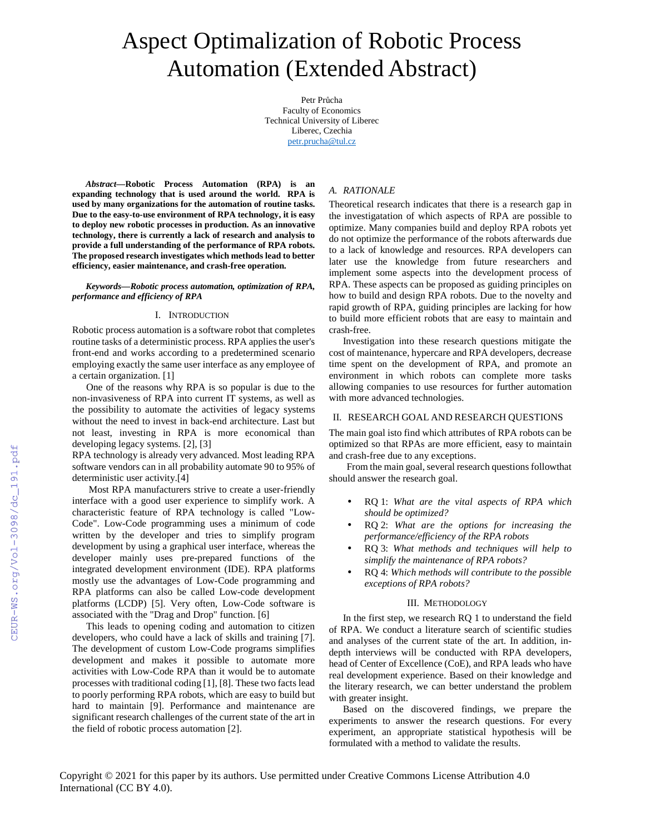# Aspect Optimalization of Robotic Process Automation (Extended Abstract)

Petr Průcha Faculty of Economics Technical University of Liberec Liberec, Czechia petr.prucha@tul.cz

*Abstract***—Robotic Process Automation (RPA) is an expanding technology that is used around the world. RPA is used by many organizations for the automation of routine tasks. Due to the easy-to-use environment of RPA technology, it is easy to deploy new robotic processes in production. As an innovative technology, there is currently a lack of research and analysis to provide a full understanding of the performance of RPA robots. The proposed research investigates which methods lead to better efficiency, easier maintenance, and crash-free operation.** 

*Keywords—Robotic process automation, optimization of RPA, performance and efficiency of RPA* 

#### I. INTRODUCTION

Robotic process automation is a software robot that completes routine tasks of a deterministic process. RPA applies the user's front-end and works according to a predetermined scenario employing exactly the same user interface as any employee of a certain organization. [1]

One of the reasons why RPA is so popular is due to the non-invasiveness of RPA into current IT systems, as well as the possibility to automate the activities of legacy systems without the need to invest in back-end architecture. Last but not least, investing in RPA is more economical than developing legacy systems. [2], [3]

RPA technology is already very advanced. Most leading RPA software vendors can in all probability automate 90 to 95% of deterministic user activity.[4]

 Most RPA manufacturers strive to create a user-friendly interface with a good user experience to simplify work. A characteristic feature of RPA technology is called "Low-Code". Low-Code programming uses a minimum of code written by the developer and tries to simplify program development by using a graphical user interface, whereas the developer mainly uses pre-prepared functions of the integrated development environment (IDE). RPA platforms mostly use the advantages of Low-Code programming and RPA platforms can also be called Low-code development platforms (LCDP) [5]. Very often, Low-Code software is associated with the "Drag and Drop" function. [6]

This leads to opening coding and automation to citizen developers, who could have a lack of skills and training [7]. The development of custom Low-Code programs simplifies development and makes it possible to automate more activities with Low-Code RPA than it would be to automate processes with traditional coding [1], [8]. These two facts lead to poorly performing RPA robots, which are easy to build but hard to maintain [9]. Performance and maintenance are significant research challenges of the current state of the art in the field of robotic process automation [2].

# *A. RATIONALE*

Theoretical research indicates that there is a research gap in the investigatation of which aspects of RPA are possible to optimize. Many companies build and deploy RPA robots yet do not optimize the performance of the robots afterwards due to a lack of knowledge and resources. RPA developers can later use the knowledge from future researchers and implement some aspects into the development process of RPA. These aspects can be proposed as guiding principles on how to build and design RPA robots. Due to the novelty and rapid growth of RPA, guiding principles are lacking for how to build more efficient robots that are easy to maintain and crash-free.

Investigation into these research questions mitigate the cost of maintenance, hypercare and RPA developers, decrease time spent on the development of RPA, and promote an environment in which robots can complete more tasks allowing companies to use resources for further automation with more advanced technologies.

## II. RESEARCH GOAL AND RESEARCH QUESTIONS

The main goal isto find which attributes of RPA robots can be optimized so that RPAs are more efficient, easy to maintain and crash-free due to any exceptions.

From the main goal, several research questions followthat should answer the research goal.

- RQ 1: *What are the vital aspects of RPA which should be optimized?*
- RQ 2: *What are the options for increasing the performance/efficiency of the RPA robots*
- RQ 3: *What methods and techniques will help to simplify the maintenance of RPA robots?*
- RQ 4: *Which methods will contribute to the possible exceptions of RPA robots?*

#### III. METHODOLOGY

In the first step, we research RQ 1 to understand the field of RPA. We conduct a literature search of scientific studies and analyses of the current state of the art. In addition, indepth interviews will be conducted with RPA developers, head of Center of Excellence (CoE), and RPA leads who have real development experience. Based on their knowledge and the literary research, we can better understand the problem with greater insight.

Based on the discovered findings, we prepare the experiments to answer the research questions. For every experiment, an appropriate statistical hypothesis will be formulated with a method to validate the results.